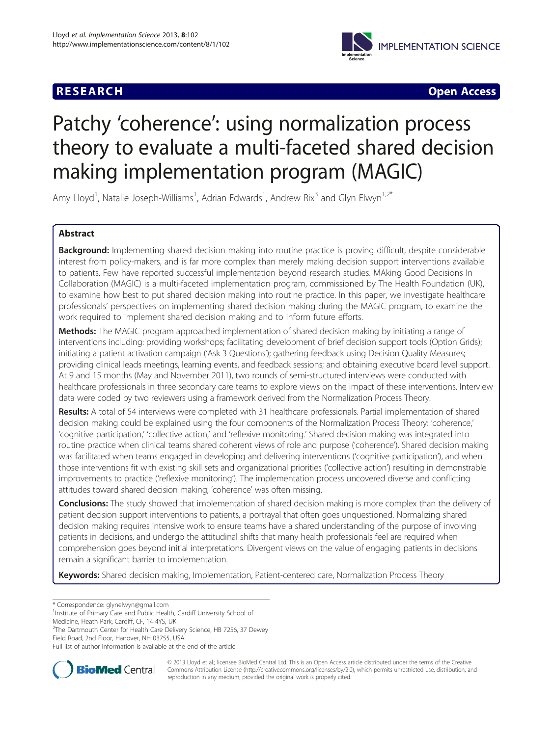## **RESEARCH RESEARCH** *CHECK <b>CHECK*



# Patchy 'coherence': using normalization process theory to evaluate a multi-faceted shared decision making implementation program (MAGIC)

Amy Lloyd<sup>1</sup>, Natalie Joseph-Williams<sup>1</sup>, Adrian Edwards<sup>1</sup>, Andrew Rix<sup>3</sup> and Glyn Elwyn<sup>1,2\*</sup>

## Abstract

Background: Implementing shared decision making into routine practice is proving difficult, despite considerable interest from policy-makers, and is far more complex than merely making decision support interventions available to patients. Few have reported successful implementation beyond research studies. MAking Good Decisions In Collaboration (MAGIC) is a multi-faceted implementation program, commissioned by The Health Foundation (UK), to examine how best to put shared decision making into routine practice. In this paper, we investigate healthcare professionals' perspectives on implementing shared decision making during the MAGIC program, to examine the work required to implement shared decision making and to inform future efforts.

Methods: The MAGIC program approached implementation of shared decision making by initiating a range of interventions including: providing workshops; facilitating development of brief decision support tools (Option Grids); initiating a patient activation campaign ('Ask 3 Questions'); gathering feedback using Decision Quality Measures; providing clinical leads meetings, learning events, and feedback sessions; and obtaining executive board level support. At 9 and 15 months (May and November 2011), two rounds of semi-structured interviews were conducted with healthcare professionals in three secondary care teams to explore views on the impact of these interventions. Interview data were coded by two reviewers using a framework derived from the Normalization Process Theory.

Results: A total of 54 interviews were completed with 31 healthcare professionals. Partial implementation of shared decision making could be explained using the four components of the Normalization Process Theory: 'coherence,' 'cognitive participation,' 'collective action,' and 'reflexive monitoring.' Shared decision making was integrated into routine practice when clinical teams shared coherent views of role and purpose ('coherence'). Shared decision making was facilitated when teams engaged in developing and delivering interventions ('cognitive participation'), and when those interventions fit with existing skill sets and organizational priorities ('collective action') resulting in demonstrable improvements to practice ('reflexive monitoring'). The implementation process uncovered diverse and conflicting attitudes toward shared decision making; 'coherence' was often missing.

Conclusions: The study showed that implementation of shared decision making is more complex than the delivery of patient decision support interventions to patients, a portrayal that often goes unquestioned. Normalizing shared decision making requires intensive work to ensure teams have a shared understanding of the purpose of involving patients in decisions, and undergo the attitudinal shifts that many health professionals feel are required when comprehension goes beyond initial interpretations. Divergent views on the value of engaging patients in decisions remain a significant barrier to implementation.

Keywords: Shared decision making, Implementation, Patient-centered care, Normalization Process Theory

\* Correspondence: [glynelwyn@gmail.com](mailto:glynelwyn@gmail.com) <sup>1</sup>

<sup>1</sup> Institute of Primary Care and Public Health, Cardiff University School of

Medicine, Heath Park, Cardiff, CF, 14 4YS, UK

<sup>2</sup>The Dartmouth Center for Health Care Delivery Science, HB 7256, 37 Dewey Field Road, 2nd Floor, Hanover, NH 03755, USA

Full list of author information is available at the end of the article



© 2013 Lloyd et al.; licensee BioMed Central Ltd. This is an Open Access article distributed under the terms of the Creative Commons Attribution License [\(http://creativecommons.org/licenses/by/2.0\)](http://creativecommons.org/licenses/by/2.0), which permits unrestricted use, distribution, and reproduction in any medium, provided the original work is properly cited.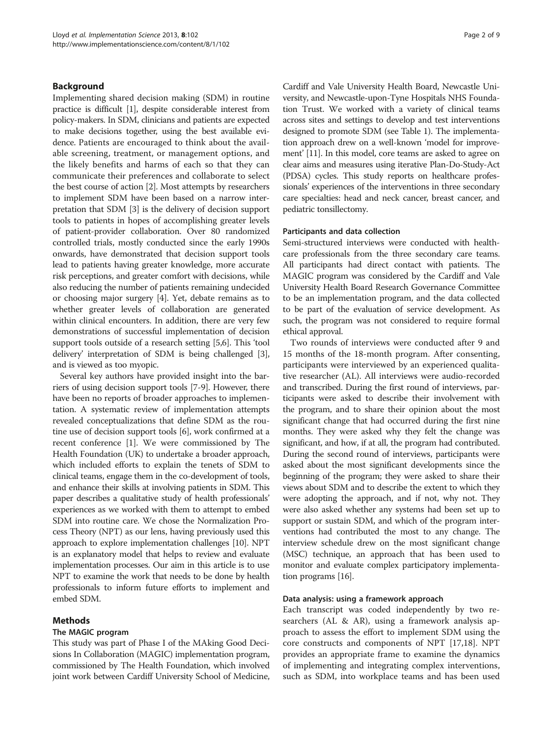## Background

Implementing shared decision making (SDM) in routine practice is difficult [\[1\]](#page-7-0), despite considerable interest from policy-makers. In SDM, clinicians and patients are expected to make decisions together, using the best available evidence. Patients are encouraged to think about the available screening, treatment, or management options, and the likely benefits and harms of each so that they can communicate their preferences and collaborate to select the best course of action [\[2](#page-7-0)]. Most attempts by researchers to implement SDM have been based on a narrow interpretation that SDM [\[3](#page-7-0)] is the delivery of decision support tools to patients in hopes of accomplishing greater levels of patient-provider collaboration. Over 80 randomized controlled trials, mostly conducted since the early 1990s onwards, have demonstrated that decision support tools lead to patients having greater knowledge, more accurate risk perceptions, and greater comfort with decisions, while also reducing the number of patients remaining undecided or choosing major surgery [[4\]](#page-7-0). Yet, debate remains as to whether greater levels of collaboration are generated within clinical encounters. In addition, there are very few demonstrations of successful implementation of decision support tools outside of a research setting [\[5,6](#page-7-0)]. This 'tool delivery' interpretation of SDM is being challenged [[3](#page-7-0)], and is viewed as too myopic.

Several key authors have provided insight into the barriers of using decision support tools [\[7-9](#page-7-0)]. However, there have been no reports of broader approaches to implementation. A systematic review of implementation attempts revealed conceptualizations that define SDM as the routine use of decision support tools [\[6](#page-7-0)], work confirmed at a recent conference [[1](#page-7-0)]. We were commissioned by The Health Foundation (UK) to undertake a broader approach, which included efforts to explain the tenets of SDM to clinical teams, engage them in the co-development of tools, and enhance their skills at involving patients in SDM. This paper describes a qualitative study of health professionals' experiences as we worked with them to attempt to embed SDM into routine care. We chose the Normalization Process Theory (NPT) as our lens, having previously used this approach to explore implementation challenges [\[10\]](#page-7-0). NPT is an explanatory model that helps to review and evaluate implementation processes. Our aim in this article is to use NPT to examine the work that needs to be done by health professionals to inform future efforts to implement and embed SDM.

## Methods

## The MAGIC program

This study was part of Phase I of the MAking Good Decisions In Collaboration (MAGIC) implementation program, commissioned by The Health Foundation, which involved joint work between Cardiff University School of Medicine,

Cardiff and Vale University Health Board, Newcastle University, and Newcastle-upon-Tyne Hospitals NHS Foundation Trust. We worked with a variety of clinical teams across sites and settings to develop and test interventions designed to promote SDM (see Table [1](#page-2-0)). The implementation approach drew on a well-known 'model for improvement' [\[11](#page-7-0)]. In this model, core teams are asked to agree on clear aims and measures using iterative Plan-Do-Study-Act (PDSA) cycles. This study reports on healthcare professionals' experiences of the interventions in three secondary care specialties: head and neck cancer, breast cancer, and pediatric tonsillectomy.

### Participants and data collection

Semi-structured interviews were conducted with healthcare professionals from the three secondary care teams. All participants had direct contact with patients. The MAGIC program was considered by the Cardiff and Vale University Health Board Research Governance Committee to be an implementation program, and the data collected to be part of the evaluation of service development. As such, the program was not considered to require formal ethical approval.

Two rounds of interviews were conducted after 9 and 15 months of the 18-month program. After consenting, participants were interviewed by an experienced qualitative researcher (AL). All interviews were audio-recorded and transcribed. During the first round of interviews, participants were asked to describe their involvement with the program, and to share their opinion about the most significant change that had occurred during the first nine months. They were asked why they felt the change was significant, and how, if at all, the program had contributed. During the second round of interviews, participants were asked about the most significant developments since the beginning of the program; they were asked to share their views about SDM and to describe the extent to which they were adopting the approach, and if not, why not. They were also asked whether any systems had been set up to support or sustain SDM, and which of the program interventions had contributed the most to any change. The interview schedule drew on the most significant change (MSC) technique, an approach that has been used to monitor and evaluate complex participatory implementation programs [[16](#page-7-0)].

## Data analysis: using a framework approach

Each transcript was coded independently by two researchers (AL & AR), using a framework analysis approach to assess the effort to implement SDM using the core constructs and components of NPT [\[17,18](#page-7-0)]. NPT provides an appropriate frame to examine the dynamics of implementing and integrating complex interventions, such as SDM, into workplace teams and has been used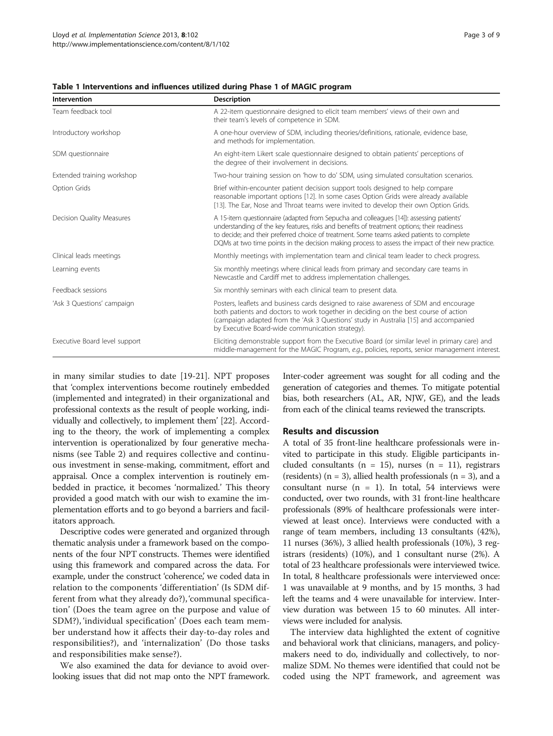| Intervention                  | <b>Description</b>                                                                                                                                                                                                                                                                                                                                                                        |  |
|-------------------------------|-------------------------------------------------------------------------------------------------------------------------------------------------------------------------------------------------------------------------------------------------------------------------------------------------------------------------------------------------------------------------------------------|--|
| Team feedback tool            | A 22-item questionnaire designed to elicit team members' views of their own and<br>their team's levels of competence in SDM.                                                                                                                                                                                                                                                              |  |
| Introductory workshop         | A one-hour overview of SDM, including theories/definitions, rationale, evidence base,<br>and methods for implementation.                                                                                                                                                                                                                                                                  |  |
| SDM questionnaire             | An eight-item Likert scale questionnaire designed to obtain patients' perceptions of<br>the degree of their involvement in decisions.                                                                                                                                                                                                                                                     |  |
| Extended training workshop    | Two-hour training session on 'how to do' SDM, using simulated consultation scenarios.                                                                                                                                                                                                                                                                                                     |  |
| Option Grids                  | Brief within-encounter patient decision support tools designed to help compare<br>reasonable important options [12]. In some cases Option Grids were already available<br>[13]. The Ear, Nose and Throat teams were invited to develop their own Option Grids.                                                                                                                            |  |
| Decision Quality Measures     | A 15-item questionnaire (adapted from Sepucha and colleagues [14]): assessing patients'<br>understanding of the key features, risks and benefits of treatment options; their readiness<br>to decide; and their preferred choice of treatment. Some teams asked patients to complete<br>DQMs at two time points in the decision making process to assess the impact of their new practice. |  |
| Clinical leads meetings       | Monthly meetings with implementation team and clinical team leader to check progress.                                                                                                                                                                                                                                                                                                     |  |
| Learning events               | Six monthly meetings where clinical leads from primary and secondary care teams in<br>Newcastle and Cardiff met to address implementation challenges.                                                                                                                                                                                                                                     |  |
| Feedback sessions             | Six monthly seminars with each clinical team to present data.                                                                                                                                                                                                                                                                                                                             |  |
| 'Ask 3 Questions' campaign    | Posters, leaflets and business cards designed to raise awareness of SDM and encourage<br>both patients and doctors to work together in deciding on the best course of action<br>(campaign adapted from the 'Ask 3 Questions' study in Australia [15] and accompanied<br>by Executive Board-wide communication strategy).                                                                  |  |
| Executive Board level support | Eliciting demonstrable support from the Executive Board (or similar level in primary care) and<br>middle-management for the MAGIC Program, e.g., policies, reports, senior management interest.                                                                                                                                                                                           |  |

#### <span id="page-2-0"></span>Table 1 Interventions and influences utilized during Phase 1 of MAGIC program

in many similar studies to date [\[19](#page-7-0)-[21\]](#page-7-0). NPT proposes that 'complex interventions become routinely embedded (implemented and integrated) in their organizational and professional contexts as the result of people working, individually and collectively, to implement them' [[22](#page-7-0)]. According to the theory, the work of implementing a complex intervention is operationalized by four generative mechanisms (see Table [2](#page-3-0)) and requires collective and continuous investment in sense-making, commitment, effort and appraisal. Once a complex intervention is routinely embedded in practice, it becomes 'normalized.' This theory provided a good match with our wish to examine the implementation efforts and to go beyond a barriers and facilitators approach.

Descriptive codes were generated and organized through thematic analysis under a framework based on the components of the four NPT constructs. Themes were identified using this framework and compared across the data. For example, under the construct 'coherence', we coded data in relation to the components 'differentiation' (Is SDM different from what they already do?), 'communal specification' (Does the team agree on the purpose and value of SDM?), 'individual specification' (Does each team member understand how it affects their day-to-day roles and responsibilities?), and 'internalization' (Do those tasks and responsibilities make sense?).

We also examined the data for deviance to avoid overlooking issues that did not map onto the NPT framework. Inter-coder agreement was sought for all coding and the generation of categories and themes. To mitigate potential bias, both researchers (AL, AR, NJW, GE), and the leads from each of the clinical teams reviewed the transcripts.

## Results and discussion

A total of 35 front-line healthcare professionals were invited to participate in this study. Eligible participants included consultants ( $n = 15$ ), nurses ( $n = 11$ ), registrars (residents)  $(n = 3)$ , allied health professionals  $(n = 3)$ , and a consultant nurse  $(n = 1)$ . In total, 54 interviews were conducted, over two rounds, with 31 front-line healthcare professionals (89% of healthcare professionals were interviewed at least once). Interviews were conducted with a range of team members, including 13 consultants (42%), 11 nurses (36%), 3 allied health professionals (10%), 3 registrars (residents) (10%), and 1 consultant nurse (2%). A total of 23 healthcare professionals were interviewed twice. In total, 8 healthcare professionals were interviewed once: 1 was unavailable at 9 months, and by 15 months, 3 had left the teams and 4 were unavailable for interview. Interview duration was between 15 to 60 minutes. All interviews were included for analysis.

The interview data highlighted the extent of cognitive and behavioral work that clinicians, managers, and policymakers need to do, individually and collectively, to normalize SDM. No themes were identified that could not be coded using the NPT framework, and agreement was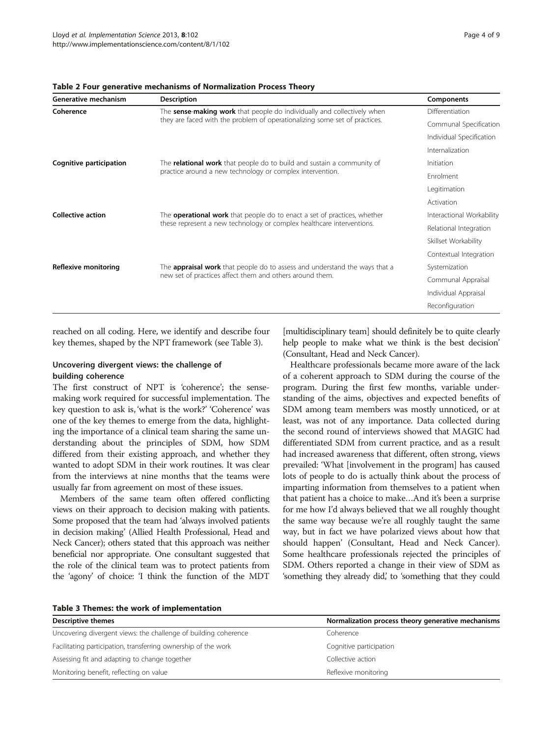|  | Page 4 of 9 |  |  |  |
|--|-------------|--|--|--|
|--|-------------|--|--|--|

#### <span id="page-3-0"></span>Table 2 Four generative mechanisms of Normalization Process Theory

| Generative mechanism    | <b>Description</b>                                                                                                                                       | Components                |
|-------------------------|----------------------------------------------------------------------------------------------------------------------------------------------------------|---------------------------|
| Coherence               | The <b>sense-making work</b> that people do individually and collectively when                                                                           | Differentiation           |
|                         | they are faced with the problem of operationalizing some set of practices.                                                                               | Communal Specification    |
|                         |                                                                                                                                                          | Individual Specification  |
|                         |                                                                                                                                                          | Internalization           |
| Cognitive participation | The <b>relational work</b> that people do to build and sustain a community of<br>practice around a new technology or complex intervention.               | Initiation                |
|                         |                                                                                                                                                          | Enrolment                 |
|                         |                                                                                                                                                          | Legitimation              |
|                         |                                                                                                                                                          | Activation                |
| Collective action       | The <b>operational work</b> that people do to enact a set of practices, whether<br>these represent a new technology or complex healthcare interventions. | Interactional Workability |
|                         |                                                                                                                                                          | Relational Integration    |
|                         |                                                                                                                                                          | Skillset Workability      |
|                         |                                                                                                                                                          | Contextual Integration    |
| Reflexive monitoring    | The <b>appraisal work</b> that people do to assess and understand the ways that a<br>new set of practices affect them and others around them.            | Systemization             |
|                         |                                                                                                                                                          | Communal Appraisal        |
|                         |                                                                                                                                                          | Individual Appraisal      |
|                         |                                                                                                                                                          | Reconfiguration           |

reached on all coding. Here, we identify and describe four key themes, shaped by the NPT framework (see Table 3).

## Uncovering divergent views: the challenge of building coherence

The first construct of NPT is 'coherence'; the sensemaking work required for successful implementation. The key question to ask is, 'what is the work?' 'Coherence' was one of the key themes to emerge from the data, highlighting the importance of a clinical team sharing the same understanding about the principles of SDM, how SDM differed from their existing approach, and whether they wanted to adopt SDM in their work routines. It was clear from the interviews at nine months that the teams were usually far from agreement on most of these issues.

Members of the same team often offered conflicting views on their approach to decision making with patients. Some proposed that the team had 'always involved patients in decision making' (Allied Health Professional, Head and Neck Cancer); others stated that this approach was neither beneficial nor appropriate. One consultant suggested that the role of the clinical team was to protect patients from the 'agony' of choice: 'I think the function of the MDT [multidisciplinary team] should definitely be to quite clearly help people to make what we think is the best decision' (Consultant, Head and Neck Cancer).

Healthcare professionals became more aware of the lack of a coherent approach to SDM during the course of the program. During the first few months, variable understanding of the aims, objectives and expected benefits of SDM among team members was mostly unnoticed, or at least, was not of any importance. Data collected during the second round of interviews showed that MAGIC had differentiated SDM from current practice, and as a result had increased awareness that different, often strong, views prevailed: 'What [involvement in the program] has caused lots of people to do is actually think about the process of imparting information from themselves to a patient when that patient has a choice to make…And it's been a surprise for me how I'd always believed that we all roughly thought the same way because we're all roughly taught the same way, but in fact we have polarized views about how that should happen' (Consultant, Head and Neck Cancer). Some healthcare professionals rejected the principles of SDM. Others reported a change in their view of SDM as 'something they already did,' to 'something that they could

Table 3 Themes: the work of implementation

| <b>Descriptive themes</b>                                       | Normalization process theory generative mechanisms |  |
|-----------------------------------------------------------------|----------------------------------------------------|--|
|                                                                 |                                                    |  |
| Uncovering divergent views: the challenge of building coherence | Coherence                                          |  |
| Facilitating participation, transferring ownership of the work  | Cognitive participation                            |  |
| Assessing fit and adapting to change together                   | Collective action                                  |  |
| Monitoring benefit, reflecting on value                         | Reflexive monitoring                               |  |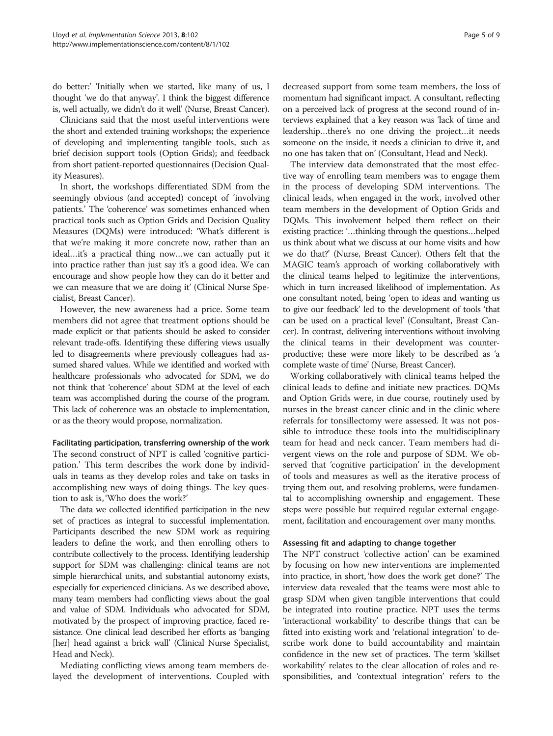do better:' 'Initially when we started, like many of us, I thought 'we do that anyway'. I think the biggest difference is, well actually, we didn't do it well' (Nurse, Breast Cancer).

Clinicians said that the most useful interventions were the short and extended training workshops; the experience of developing and implementing tangible tools, such as brief decision support tools (Option Grids); and feedback from short patient-reported questionnaires (Decision Quality Measures).

In short, the workshops differentiated SDM from the seemingly obvious (and accepted) concept of 'involving patients.' The 'coherence' was sometimes enhanced when practical tools such as Option Grids and Decision Quality Measures (DQMs) were introduced: 'What's different is that we're making it more concrete now, rather than an ideal…it's a practical thing now…we can actually put it into practice rather than just say it's a good idea. We can encourage and show people how they can do it better and we can measure that we are doing it' (Clinical Nurse Specialist, Breast Cancer).

However, the new awareness had a price. Some team members did not agree that treatment options should be made explicit or that patients should be asked to consider relevant trade-offs. Identifying these differing views usually led to disagreements where previously colleagues had assumed shared values. While we identified and worked with healthcare professionals who advocated for SDM, we do not think that 'coherence' about SDM at the level of each team was accomplished during the course of the program. This lack of coherence was an obstacle to implementation, or as the theory would propose, normalization.

Facilitating participation, transferring ownership of the work The second construct of NPT is called 'cognitive participation.' This term describes the work done by individuals in teams as they develop roles and take on tasks in accomplishing new ways of doing things. The key question to ask is, 'Who does the work?'

The data we collected identified participation in the new set of practices as integral to successful implementation. Participants described the new SDM work as requiring leaders to define the work, and then enrolling others to contribute collectively to the process. Identifying leadership support for SDM was challenging: clinical teams are not simple hierarchical units, and substantial autonomy exists, especially for experienced clinicians. As we described above, many team members had conflicting views about the goal and value of SDM. Individuals who advocated for SDM, motivated by the prospect of improving practice, faced resistance. One clinical lead described her efforts as 'banging [her] head against a brick wall' (Clinical Nurse Specialist, Head and Neck).

Mediating conflicting views among team members delayed the development of interventions. Coupled with

decreased support from some team members, the loss of momentum had significant impact. A consultant, reflecting on a perceived lack of progress at the second round of interviews explained that a key reason was 'lack of time and leadership…there's no one driving the project…it needs someone on the inside, it needs a clinician to drive it, and no one has taken that on' (Consultant, Head and Neck).

The interview data demonstrated that the most effective way of enrolling team members was to engage them in the process of developing SDM interventions. The clinical leads, when engaged in the work, involved other team members in the development of Option Grids and DQMs. This involvement helped them reflect on their existing practice: '…thinking through the questions…helped us think about what we discuss at our home visits and how we do that?' (Nurse, Breast Cancer). Others felt that the MAGIC team's approach of working collaboratively with the clinical teams helped to legitimize the interventions, which in turn increased likelihood of implementation. As one consultant noted, being 'open to ideas and wanting us to give our feedback' led to the development of tools 'that can be used on a practical level' (Consultant, Breast Cancer). In contrast, delivering interventions without involving the clinical teams in their development was counterproductive; these were more likely to be described as 'a complete waste of time' (Nurse, Breast Cancer).

Working collaboratively with clinical teams helped the clinical leads to define and initiate new practices. DQMs and Option Grids were, in due course, routinely used by nurses in the breast cancer clinic and in the clinic where referrals for tonsillectomy were assessed. It was not possible to introduce these tools into the multidisciplinary team for head and neck cancer. Team members had divergent views on the role and purpose of SDM. We observed that 'cognitive participation' in the development of tools and measures as well as the iterative process of trying them out, and resolving problems, were fundamental to accomplishing ownership and engagement. These steps were possible but required regular external engagement, facilitation and encouragement over many months.

## Assessing fit and adapting to change together

The NPT construct 'collective action' can be examined by focusing on how new interventions are implemented into practice, in short, 'how does the work get done?' The interview data revealed that the teams were most able to grasp SDM when given tangible interventions that could be integrated into routine practice. NPT uses the terms 'interactional workability' to describe things that can be fitted into existing work and 'relational integration' to describe work done to build accountability and maintain confidence in the new set of practices. The term 'skillset workability' relates to the clear allocation of roles and responsibilities, and 'contextual integration' refers to the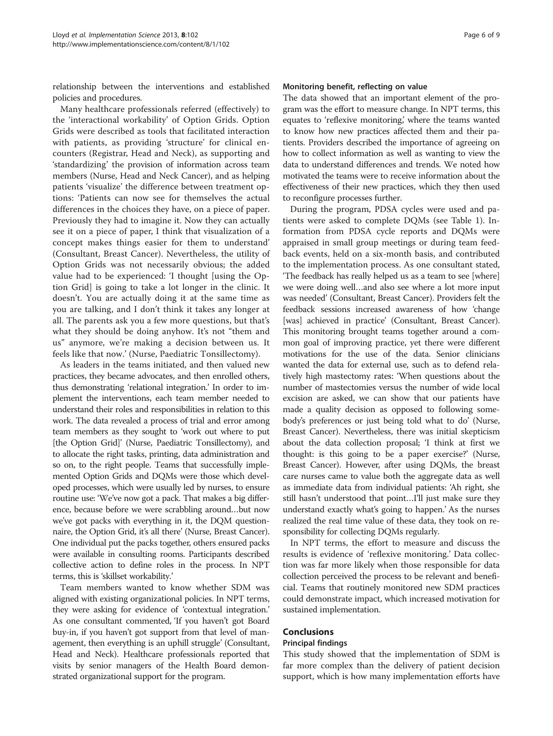relationship between the interventions and established policies and procedures.

Many healthcare professionals referred (effectively) to the 'interactional workability' of Option Grids. Option Grids were described as tools that facilitated interaction with patients, as providing 'structure' for clinical encounters (Registrar, Head and Neck), as supporting and 'standardizing' the provision of information across team members (Nurse, Head and Neck Cancer), and as helping patients 'visualize' the difference between treatment options: 'Patients can now see for themselves the actual differences in the choices they have, on a piece of paper. Previously they had to imagine it. Now they can actually see it on a piece of paper, I think that visualization of a concept makes things easier for them to understand' (Consultant, Breast Cancer). Nevertheless, the utility of Option Grids was not necessarily obvious; the added value had to be experienced: 'I thought [using the Option Grid] is going to take a lot longer in the clinic. It doesn't. You are actually doing it at the same time as you are talking, and I don't think it takes any longer at all. The parents ask you a few more questions, but that's what they should be doing anyhow. It's not "them and us" anymore, we're making a decision between us. It feels like that now.' (Nurse, Paediatric Tonsillectomy).

As leaders in the teams initiated, and then valued new practices, they became advocates, and then enrolled others, thus demonstrating 'relational integration.' In order to implement the interventions, each team member needed to understand their roles and responsibilities in relation to this work. The data revealed a process of trial and error among team members as they sought to 'work out where to put [the Option Grid]' (Nurse, Paediatric Tonsillectomy), and to allocate the right tasks, printing, data administration and so on, to the right people. Teams that successfully implemented Option Grids and DQMs were those which developed processes, which were usually led by nurses, to ensure routine use: 'We've now got a pack. That makes a big difference, because before we were scrabbling around…but now we've got packs with everything in it, the DQM questionnaire, the Option Grid, it's all there' (Nurse, Breast Cancer). One individual put the packs together, others ensured packs were available in consulting rooms. Participants described collective action to define roles in the process. In NPT terms, this is 'skillset workability.'

Team members wanted to know whether SDM was aligned with existing organizational policies. In NPT terms, they were asking for evidence of 'contextual integration.' As one consultant commented, 'If you haven't got Board buy-in, if you haven't got support from that level of management, then everything is an uphill struggle' (Consultant, Head and Neck). Healthcare professionals reported that visits by senior managers of the Health Board demonstrated organizational support for the program.

## Monitoring benefit, reflecting on value

The data showed that an important element of the program was the effort to measure change. In NPT terms, this equates to 'reflexive monitoring,' where the teams wanted to know how new practices affected them and their patients. Providers described the importance of agreeing on how to collect information as well as wanting to view the data to understand differences and trends. We noted how motivated the teams were to receive information about the effectiveness of their new practices, which they then used to reconfigure processes further.

During the program, PDSA cycles were used and patients were asked to complete DQMs (see Table [1](#page-2-0)). Information from PDSA cycle reports and DQMs were appraised in small group meetings or during team feedback events, held on a six-month basis, and contributed to the implementation process. As one consultant stated, 'The feedback has really helped us as a team to see [where] we were doing well…and also see where a lot more input was needed' (Consultant, Breast Cancer). Providers felt the feedback sessions increased awareness of how 'change [was] achieved in practice' (Consultant, Breast Cancer). This monitoring brought teams together around a common goal of improving practice, yet there were different motivations for the use of the data. Senior clinicians wanted the data for external use, such as to defend relatively high mastectomy rates: 'When questions about the number of mastectomies versus the number of wide local excision are asked, we can show that our patients have made a quality decision as opposed to following somebody's preferences or just being told what to do' (Nurse, Breast Cancer). Nevertheless, there was initial skepticism about the data collection proposal; 'I think at first we thought: is this going to be a paper exercise?' (Nurse, Breast Cancer). However, after using DQMs, the breast care nurses came to value both the aggregate data as well as immediate data from individual patients: 'Ah right, she still hasn't understood that point…I'll just make sure they understand exactly what's going to happen.' As the nurses realized the real time value of these data, they took on responsibility for collecting DQMs regularly.

In NPT terms, the effort to measure and discuss the results is evidence of 'reflexive monitoring.' Data collection was far more likely when those responsible for data collection perceived the process to be relevant and beneficial. Teams that routinely monitored new SDM practices could demonstrate impact, which increased motivation for sustained implementation.

## **Conclusions**

### Principal findings

This study showed that the implementation of SDM is far more complex than the delivery of patient decision support, which is how many implementation efforts have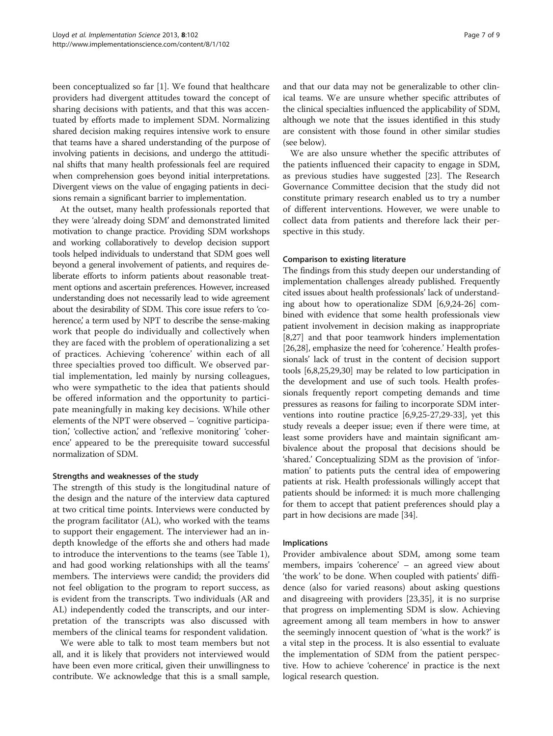been conceptualized so far [[1\]](#page-7-0). We found that healthcare providers had divergent attitudes toward the concept of sharing decisions with patients, and that this was accentuated by efforts made to implement SDM. Normalizing shared decision making requires intensive work to ensure that teams have a shared understanding of the purpose of involving patients in decisions, and undergo the attitudinal shifts that many health professionals feel are required when comprehension goes beyond initial interpretations. Divergent views on the value of engaging patients in decisions remain a significant barrier to implementation.

At the outset, many health professionals reported that they were 'already doing SDM' and demonstrated limited motivation to change practice. Providing SDM workshops and working collaboratively to develop decision support tools helped individuals to understand that SDM goes well beyond a general involvement of patients, and requires deliberate efforts to inform patients about reasonable treatment options and ascertain preferences. However, increased understanding does not necessarily lead to wide agreement about the desirability of SDM. This core issue refers to 'coherence,' a term used by NPT to describe the sense-making work that people do individually and collectively when they are faced with the problem of operationalizing a set of practices. Achieving 'coherence' within each of all three specialties proved too difficult. We observed partial implementation, led mainly by nursing colleagues, who were sympathetic to the idea that patients should be offered information and the opportunity to participate meaningfully in making key decisions. While other elements of the NPT were observed – 'cognitive participation,' 'collective action,' and 'reflexive monitoring' 'coherence' appeared to be the prerequisite toward successful normalization of SDM.

## Strengths and weaknesses of the study

The strength of this study is the longitudinal nature of the design and the nature of the interview data captured at two critical time points. Interviews were conducted by the program facilitator (AL), who worked with the teams to support their engagement. The interviewer had an indepth knowledge of the efforts she and others had made to introduce the interventions to the teams (see Table [1](#page-2-0)), and had good working relationships with all the teams' members. The interviews were candid; the providers did not feel obligation to the program to report success, as is evident from the transcripts. Two individuals (AR and AL) independently coded the transcripts, and our interpretation of the transcripts was also discussed with members of the clinical teams for respondent validation.

We were able to talk to most team members but not all, and it is likely that providers not interviewed would have been even more critical, given their unwillingness to contribute. We acknowledge that this is a small sample,

and that our data may not be generalizable to other clinical teams. We are unsure whether specific attributes of the clinical specialties influenced the applicability of SDM, although we note that the issues identified in this study are consistent with those found in other similar studies (see below).

We are also unsure whether the specific attributes of the patients influenced their capacity to engage in SDM, as previous studies have suggested [\[23\]](#page-7-0). The Research Governance Committee decision that the study did not constitute primary research enabled us to try a number of different interventions. However, we were unable to collect data from patients and therefore lack their perspective in this study.

## Comparison to existing literature

The findings from this study deepen our understanding of implementation challenges already published. Frequently cited issues about health professionals' lack of understanding about how to operationalize SDM [\[6,9,24-26\]](#page-7-0) combined with evidence that some health professionals view patient involvement in decision making as inappropriate [[8,27](#page-7-0)] and that poor teamwork hinders implementation [[26](#page-7-0),[28](#page-7-0)], emphasize the need for 'coherence.' Health professionals' lack of trust in the content of decision support tools [[6,8,25,29,30](#page-7-0)] may be related to low participation in the development and use of such tools. Health professionals frequently report competing demands and time pressures as reasons for failing to incorporate SDM interventions into routine practice [[6,9,25-27,29-33\]](#page-7-0), yet this study reveals a deeper issue; even if there were time, at least some providers have and maintain significant ambivalence about the proposal that decisions should be 'shared.' Conceptualizing SDM as the provision of 'information' to patients puts the central idea of empowering patients at risk. Health professionals willingly accept that patients should be informed: it is much more challenging for them to accept that patient preferences should play a part in how decisions are made [\[34\]](#page-8-0).

## Implications

Provider ambivalence about SDM, among some team members, impairs 'coherence' – an agreed view about 'the work' to be done. When coupled with patients' diffidence (also for varied reasons) about asking questions and disagreeing with providers [[23](#page-7-0),[35](#page-8-0)], it is no surprise that progress on implementing SDM is slow. Achieving agreement among all team members in how to answer the seemingly innocent question of 'what is the work?' is a vital step in the process. It is also essential to evaluate the implementation of SDM from the patient perspective. How to achieve 'coherence' in practice is the next logical research question.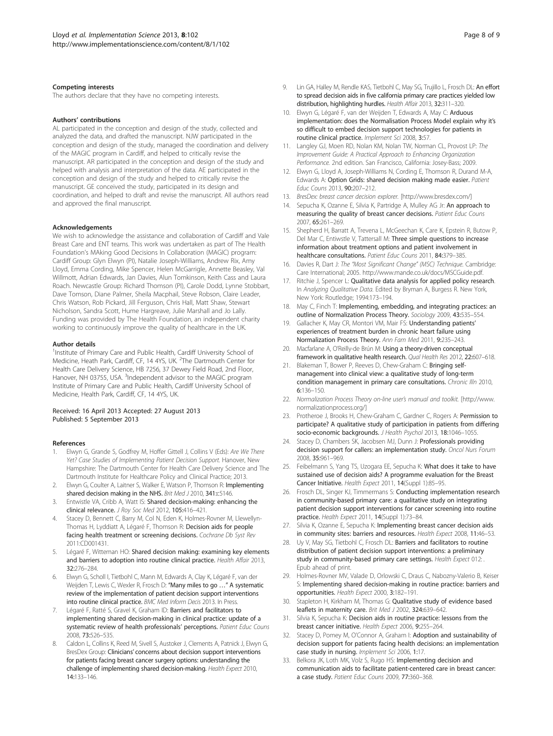#### <span id="page-7-0"></span>Competing interests

The authors declare that they have no competing interests.

#### Authors' contributions

AL participated in the conception and design of the study, collected and analyzed the data, and drafted the manuscript. NJW participated in the conception and design of the study, managed the coordination and delivery of the MAGIC program in Cardiff, and helped to critically revise the manuscript. AR participated in the conception and design of the study and helped with analysis and interpretation of the data. AE participated in the conception and design of the study and helped to critically revise the manuscript. GE conceived the study, participated in its design and coordination, and helped to draft and revise the manuscript. All authors read and approved the final manuscript.

#### Acknowledgements

We wish to acknowledge the assistance and collaboration of Cardiff and Vale Breast Care and ENT teams. This work was undertaken as part of The Health Foundation's MAking Good Decisions In Collaboration (MAGIC) program: Cardiff Group: Glyn Elwyn (PI), Natalie Joseph-Williams, Andrew Rix, Amy Lloyd, Emma Cording, Mike Spencer, Helen McGarrigle, Annette Beasley, Val Willmott, Adrian Edwards, Jan Davies, Alun Tomkinson, Keith Cass and Laura Roach. Newcastle Group: Richard Thomson (PI), Carole Dodd, Lynne Stobbart, Dave Tomson, Diane Palmer, Sheila Macphail, Steve Robson, Claire Leader, Chris Watson, Rob Pickard, Jill Ferguson, Chris Hall, Matt Shaw, Stewart Nicholson, Sandra Scott, Hume Hargreave, Julie Marshall and Jo Lally. Funding was provided by The Health Foundation, an independent charity working to continuously improve the quality of healthcare in the UK.

#### Author details

<sup>1</sup>Institute of Primary Care and Public Health, Cardiff University School of Medicine, Heath Park, Cardiff, CF, 14 4YS, UK. <sup>2</sup>The Dartmouth Center for Health Care Delivery Science, HB 7256, 37 Dewey Field Road, 2nd Floor, Hanover, NH 03755, USA. <sup>3</sup>Independent advisor to the MAGIC program Institute of Primary Care and Public Health, Cardiff University School of Medicine, Health Park, Cardiff, CF, 14 4YS, UK.

#### Received: 16 April 2013 Accepted: 27 August 2013 Published: 5 September 2013

#### References

- 1. Elwyn G, Grande S, Godfrey M, Hoffer Gittell J, Collins V (Eds): Are We There Yet? Case Studies of Implementing Patient Decision Support. Hanover, New Hampshire: The Dartmouth Center for Health Care Delivery Science and The Dartmouth Institute for Healthcare Policy and Clinical Practice; 2013.
- Elwyn G, Coulter A, Laitner S, Walker E, Watson P, Thomson R: Implementing shared decision making in the NHS. Brit Med J 2010, 341:c5146.
- 3. Entwistle VA, Cribb A, Watt IS: Shared decision-making: enhancing the clinical relevance. J Roy Soc Med 2012, 105:416–421.
- 4. Stacey D, Bennett C, Barry M, Col N, Eden K, Holmes-Rovner M, Llewellyn-Thomas H, Lyddiatt A, Légaré F, Thomson R: Decision aids for people facing health treatment or screening decisions. Cochrane Db Syst Rev 2011:CD001431.
- 5. Légaré F, Witteman HO: Shared decision making: examining key elements and barriers to adoption into routine clinical practice. Health Affair 2013, 32:276–284.
- 6. Elwyn G, Scholl I, Tietbohl C, Mann M, Edwards A, Clay K, Légaré F, van der Weijden T, Lewis C, Wexler R, Frosch D: "Many miles to go ..." A systematic review of the implementation of patient decision support interventions into routine clinical practice. BMC Med Inform Decis 2013. In Press.
- 7. Légaré F, Ratté S, Gravel K, Graham ID: Barriers and facilitators to implementing shared decision-making in clinical practice: update of a systematic review of health professionals' perceptions. Patient Educ Couns 2008, 73:526–535.
- Caldon L, Collins K, Reed M, Sivell S, Austoker J, Clements A, Patnick J, Elwyn G, BresDex Group: Clinicians' concerns about decision support interventions for patients facing breast cancer surgery options: understanding the challenge of implementing shared decision-making. Health Expect 2010, 14:133–146.
- Lin GA, Halley M, Rendle KAS, Tietbohl C, May SG, Trujillo L, Frosch DL: An effort to spread decision aids in five california primary care practices yielded low distribution, highlighting hurdles. Health Affair 2013, 32:311–320.
- 10. Elwyn G, Légaré F, van der Weijden T, Edwards A, May C: Arduous implementation: does the Normalisation Process Model explain why it's so difficult to embed decision support technologies for patients in routine clinical practice. Implement Sci 2008, 3:57.
- 11. Langley GJ, Moen RD, Nolan KM, Nolan TW, Norman CL, Provost LP: The Improvement Guide: A Practical Approach to Enhancing Organization Performance. 2nd edition. San Francisco, California: Josey-Bass; 2009.
- 12. Elwyn G, Lloyd A, Joseph-Williams N, Cording E, Thomson R, Durand M-A, Edwards A: Option Grids: shared decision making made easier. Patient Educ Couns 2013, 90:207–212.
- 13. BresDex: breast cancer decision explorer. [[http://www.bresdex.com/\]](http://www.bresdex.com/)
- 14. Sepucha K, Ozanne E, Silvia K, Partridge A, Mulley AG Jr: An approach to measuring the quality of breast cancer decisions. Patient Educ Couns 2007, 65:261–269.
- 15. Shepherd H, Barratt A, Trevena L, McGeechan K, Care K, Epstein R, Butow P, Del Mar C, Entiwstle V, Tattersall M: Three simple questions to increase information about treatment options and patient involvement in healthcare consultations. Patient Educ Couns 2011, 84:379–385.
- 16. Davies R, Dart J: The "Most Significant Change" (MSC) Technique. Cambridge: Care International; 2005. [http://www.mande.co.uk/docs/MSCGuide.pdf.](http://www.mande.co.uk/docs/MSCGuide.pdf)
- 17. Ritchie J, Spencer L: Qualitative data analysis for applied policy research. In Analyzing Qualitative Data. Edited by Bryman A, Burgess R. New York, New York: Routledge; 1994:173–194.
- 18. May C, Finch T: Implementing, embedding, and integrating practices: an outline of Normalization Process Theory. Sociology 2009, 43:535–554.
- 19. Gallacher K, May CR, Montori VM, Mair FS: Understanding patients' experiences of treatment burden in chronic heart failure using Normalization Process Theory. Ann Fam Med 2011, 9:235–243.
- 20. Macfarlane A, O'Reilly-de Brún M: Using a theory-driven conceptual framework in qualitative health research. Qual Health Res 2012, 22:607–618.
- 21. Blakeman T, Bower P, Reeves D, Chew-Graham C: Bringing selfmanagement into clinical view: a qualitative study of long-term condition management in primary care consultations. Chronic Illn 2010, 6:136–150.
- 22. Normalization Process Theory on-line user's manual and toolkit. [\[http://www.](http://www.normalizationprocess.org/) [normalizationprocess.org/](http://www.normalizationprocess.org/)]
- 23. Protheroe J, Brooks H, Chew-Graham C, Gardner C, Rogers A: Permission to participate? A qualitative study of participation in patients from differing socio-economic backgrounds. J Health Psychol 2013, 18:1046-1055.
- 24. Stacey D, Chambers SK, Jacobsen MJ, Dunn J: Professionals providing decision support for callers: an implementation study. Oncol Nurs Forum 2008, 35:961–969.
- 25. Feibelmann S, Yang TS, Uzogara EE, Sepucha K: What does it take to have sustained use of decision aids? A programme evaluation for the Breast Cancer Initiative. Health Expect 2011, 14(Suppl 1):85–95.
- 26. Frosch DL, Singer KJ, Timmermans S: Conducting implementation research in community-based primary care: a qualitative study on integrating patient decision support interventions for cancer screening into routine practice. Health Expect 2011, 14(Suppl 1):73–84.
- 27. Silvia K, Ozanne E, Sepucha K: Implementing breast cancer decision aids in community sites: barriers and resources. Health Expect 2008, 11:46–53.
- 28. Uy V, May SG, Tietbohl C, Frosch DL: Barriers and facilitators to routine distribution of patient decision support interventions: a preliminary study in community-based primary care settings. Health Expect 012:. Epub ahead of print.
- 29. Holmes-Rovner MV, Valade D, Orlowski C, Draus C, Nabozny-Valerio B, Keiser S: Implementing shared decision-making in routine practice: barriers and opportunities. Health Expect 2000, 3:182–191.
- 30. Stapleton H, Kirkham M, Thomas G: Qualitative study of evidence based leaflets in maternity care. Brit Med J 2002, 324:639–642.
- 31. Silvia K, Sepucha K: Decision aids in routine practice: lessons from the breast cancer initiative. Health Expect 2006, 9:255–264.
- 32. Stacey D, Pomey M, O'Connor A, Graham I: Adoption and sustainability of decision support for patients facing health decisions: an implementation case study in nursing. Implement Sci 2006, 1:17.
- 33. Belkora JK, Loth MK, Volz S, Rugo HS: Implementing decision and communication aids to facilitate patient-centered care in breast cancer: a case study. Patient Educ Couns 2009, 77:360–368.